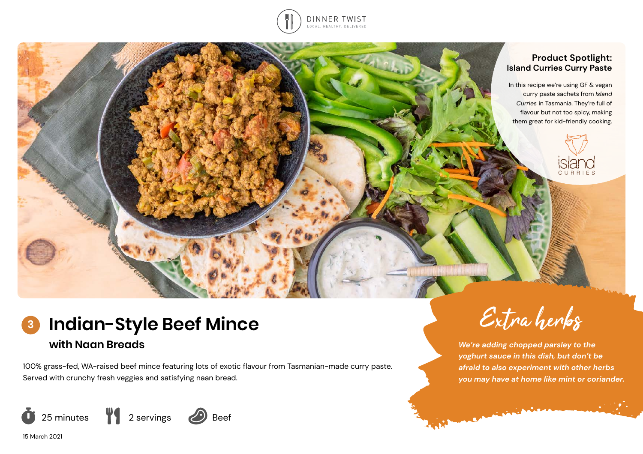

#### **Product Spotlight: Island Curries Curry Paste**

In this recipe we're using GF & vegan curry paste sachets from *Island Curries* in Tasmania. They're full of flavour but not too spicy, making them great for kid-friendly cooking.



### **Indian-Style Beef Mince with Naan Breads 3**

100% grass-fed, WA-raised beef mince featuring lots of exotic flavour from Tasmanian-made curry paste. Served with crunchy fresh veggies and satisfying naan bread.





**Commission** 

*We're adding chopped parsley to the yoghurt sauce in this dish, but don't be afraid to also experiment with other herbs you may have at home like mint or coriander.*

15 March 2021